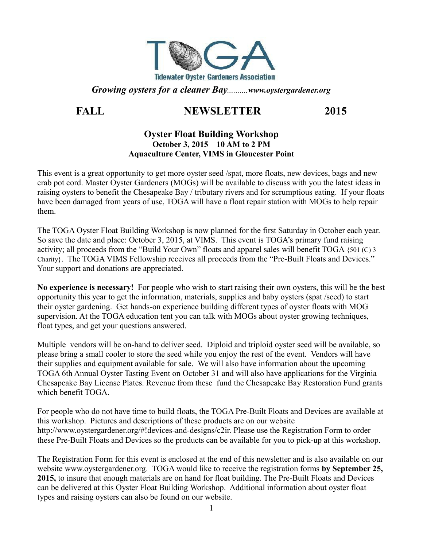

*Growing oysters for a cleaner Bay..........www.oystergardener.org*

# **FALL NEWSLETTER 2015**

#### **Oyster Float Building Workshop October 3, 2015 10 AM to 2 PM Aquaculture Center, VIMS in Gloucester Point**

This event is a great opportunity to get more oyster seed /spat, more floats, new devices, bags and new crab pot cord. Master Oyster Gardeners (MOGs) will be available to discuss with you the latest ideas in raising oysters to benefit the Chesapeake Bay / tributary rivers and for scrumptious eating. If your floats have been damaged from years of use, TOGA will have a float repair station with MOGs to help repair them.

The TOGA Oyster Float Building Workshop is now planned for the first Saturday in October each year. So save the date and place: October 3, 2015, at VIMS. This event is TOGA's primary fund raising activity; all proceeds from the "Build Your Own" floats and apparel sales will benefit TOGA {501 (C) 3 Charity}. The TOGA VIMS Fellowship receives all proceeds from the "Pre-Built Floats and Devices." Your support and donations are appreciated.

**No experience is necessary!** For people who wish to start raising their own oysters, this will be the best opportunity this year to get the information, materials, supplies and baby oysters (spat /seed) to start their oyster gardening. Get hands-on experience building different types of oyster floats with MOG supervision. At the TOGA education tent you can talk with MOGs about oyster growing techniques, float types, and get your questions answered.

Multiple vendors will be on-hand to deliver seed. Diploid and triploid oyster seed will be available, so please bring a small cooler to store the seed while you enjoy the rest of the event. Vendors will have their supplies and equipment available for sale. We will also have information about the upcoming TOGA 6th Annual Oyster Tasting Event on October 31 and will also have applications for the Virginia Chesapeake Bay License Plates. Revenue from these fund the Chesapeake Bay Restoration Fund grants which benefit TOGA.

For people who do not have time to build floats, the TOGA Pre-Built Floats and Devices are available at this workshop. Pictures and descriptions of these products are on our website http://www.oystergardener.org/#!devices-and-designs/c2ir. Please use the Registration Form to order these Pre-Built Floats and Devices so the products can be available for you to pick-up at this workshop.

The Registration Form for this event is enclosed at the end of this newsletter and is also available on our website [www.oystergardener.org.](http://www.oystergardener.org/) TOGA would like to receive the registration forms **by September 25, 2015,** to insure that enough materials are on hand for float building. The Pre-Built Floats and Devices can be delivered at this Oyster Float Building Workshop. Additional information about oyster float types and raising oysters can also be found on our website.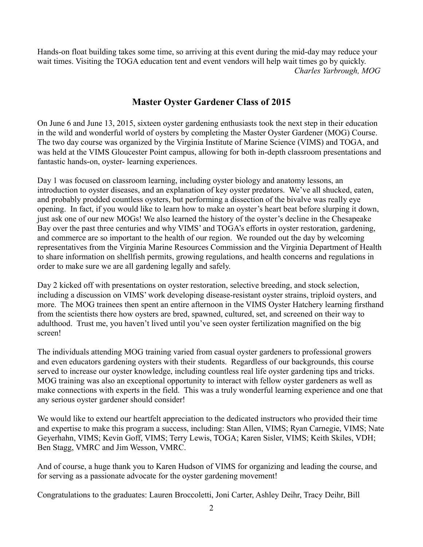Hands-on float building takes some time, so arriving at this event during the mid-day may reduce your wait times. Visiting the TOGA education tent and event vendors will help wait times go by quickly. *Charles Yarbrough, MOG*

## **Master Oyster Gardener Class of 2015**

On June 6 and June 13, 2015, sixteen oyster gardening enthusiasts took the next step in their education in the wild and wonderful world of oysters by completing the Master Oyster Gardener (MOG) Course. The two day course was organized by the Virginia Institute of Marine Science (VIMS) and TOGA, and was held at the VIMS Gloucester Point campus, allowing for both in-depth classroom presentations and fantastic hands-on, oyster- learning experiences.

Day 1 was focused on classroom learning, including oyster biology and anatomy lessons, an introduction to oyster diseases, and an explanation of key oyster predators. We've all shucked, eaten, and probably prodded countless oysters, but performing a dissection of the bivalve was really eye opening. In fact, if you would like to learn how to make an oyster's heart beat before slurping it down, just ask one of our new MOGs! We also learned the history of the oyster's decline in the Chesapeake Bay over the past three centuries and why VIMS' and TOGA's efforts in oyster restoration, gardening, and commerce are so important to the health of our region. We rounded out the day by welcoming representatives from the Virginia Marine Resources Commission and the Virginia Department of Health to share information on shellfish permits, growing regulations, and health concerns and regulations in order to make sure we are all gardening legally and safely.

Day 2 kicked off with presentations on oyster restoration, selective breeding, and stock selection, including a discussion on VIMS' work developing disease-resistant oyster strains, triploid oysters, and more. The MOG trainees then spent an entire afternoon in the VIMS Oyster Hatchery learning firsthand from the scientists there how oysters are bred, spawned, cultured, set, and screened on their way to adulthood. Trust me, you haven't lived until you've seen oyster fertilization magnified on the big screen!

The individuals attending MOG training varied from casual oyster gardeners to professional growers and even educators gardening oysters with their students. Regardless of our backgrounds, this course served to increase our oyster knowledge, including countless real life oyster gardening tips and tricks. MOG training was also an exceptional opportunity to interact with fellow oyster gardeners as well as make connections with experts in the field. This was a truly wonderful learning experience and one that any serious oyster gardener should consider!

We would like to extend our heartfelt appreciation to the dedicated instructors who provided their time and expertise to make this program a success, including: Stan Allen, VIMS; Ryan Carnegie, VIMS; Nate Geyerhahn, VIMS; Kevin Goff, VIMS; Terry Lewis, TOGA; Karen Sisler, VIMS; Keith Skiles, VDH; Ben Stagg, VMRC and Jim Wesson, VMRC.

And of course, a huge thank you to Karen Hudson of VIMS for organizing and leading the course, and for serving as a passionate advocate for the oyster gardening movement!

Congratulations to the graduates: Lauren Broccoletti, Joni Carter, Ashley Deihr, Tracy Deihr, Bill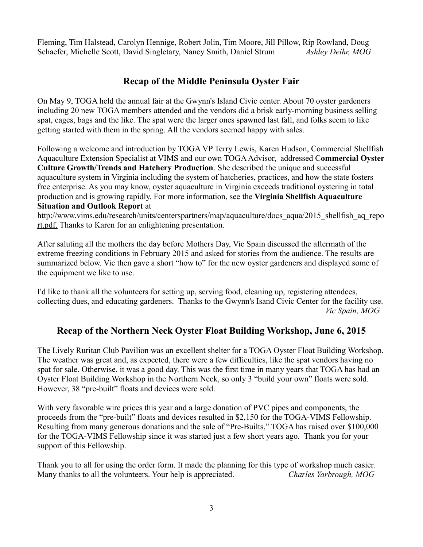Fleming, Tim Halstead, Carolyn Hennige, Robert Jolin, Tim Moore, Jill Pillow, Rip Rowland, Doug Schaefer, Michelle Scott, David Singletary, Nancy Smith, Daniel Strum *Ashley Deihr, MOG*

## **Recap of the Middle Peninsula Oyster Fair**

On May 9, TOGA held the annual fair at the Gwynn's Island Civic center. About 70 oyster gardeners including 20 new TOGA members attended and the vendors did a brisk early-morning business selling spat, cages, bags and the like. The spat were the larger ones spawned last fall, and folks seem to like getting started with them in the spring. All the vendors seemed happy with sales.

Following a welcome and introduction by TOGA VP Terry Lewis, Karen Hudson, Commercial Shellfish Aquaculture Extension Specialist at VIMS and our own TOGA Advisor, addressed C**ommercial Oyster Culture Growth/Trends and Hatchery Production**. She described the unique and successful aquaculture system in Virginia including the system of hatcheries, practices, and how the state fosters free enterprise. As you may know, oyster aquaculture in Virginia exceeds traditional oystering in total production and is growing rapidly. For more information, see the **Virginia Shellfish Aquaculture Situation and Outlook Report** at

[http://www.vims.edu/research/units/centerspartners/map/aquaculture/docs\\_aqua/2015\\_shellfish\\_aq\\_repo](http://www.vims.edu/research/units/centerspartners/map/aquaculture/docs_aqua/2015_shellfish_aq_report.pdf)  [rt.pdf.](http://www.vims.edu/research/units/centerspartners/map/aquaculture/docs_aqua/2015_shellfish_aq_report.pdf) Thanks to Karen for an enlightening presentation.

After saluting all the mothers the day before Mothers Day, Vic Spain discussed the aftermath of the extreme freezing conditions in February 2015 and asked for stories from the audience. The results are summarized below. Vic then gave a short "how to" for the new oyster gardeners and displayed some of the equipment we like to use.

I'd like to thank all the volunteers for setting up, serving food, cleaning up, registering attendees, collecting dues, and educating gardeners. Thanks to the Gwynn's Isand Civic Center for the facility use. *Vic Spain, MOG*

## **Recap of the Northern Neck Oyster Float Building Workshop, June 6, 2015**

The Lively Ruritan Club Pavilion was an excellent shelter for a TOGA Oyster Float Building Workshop. The weather was great and, as expected, there were a few difficulties, like the spat vendors having no spat for sale. Otherwise, it was a good day. This was the first time in many years that TOGA has had an Oyster Float Building Workshop in the Northern Neck, so only 3 "build your own" floats were sold. However, 38 "pre-built" floats and devices were sold.

With very favorable wire prices this year and a large donation of PVC pipes and components, the proceeds from the "pre-built" floats and devices resulted in \$2,150 for the TOGA-VIMS Fellowship. Resulting from many generous donations and the sale of "Pre-Builts," TOGA has raised over \$100,000 for the TOGA-VIMS Fellowship since it was started just a few short years ago. Thank you for your support of this Fellowship.

Thank you to all for using the order form. It made the planning for this type of workshop much easier. Many thanks to all the volunteers. Your help is appreciated. *Charles Yarbrough, MOG*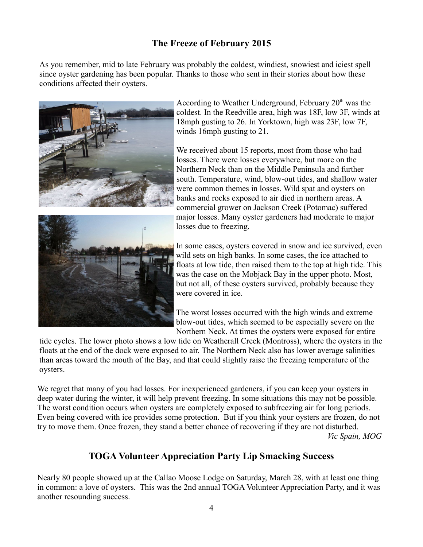# **The Freeze of February 2015**

As you remember, mid to late February was probably the coldest, windiest, snowiest and iciest spell since oyster gardening has been popular. Thanks to those who sent in their stories about how these conditions affected their oysters.



According to Weather Underground, February  $20<sup>th</sup>$  was the coldest. In the Reedville area, high was 18F, low 3F, winds at 18mph gusting to 26. In Yorktown, high was 23F, low 7F, winds 16mph gusting to 21.

We received about 15 reports, most from those who had losses. There were losses everywhere, but more on the Northern Neck than on the Middle Peninsula and further south. Temperature, wind, blow-out tides, and shallow water were common themes in losses. Wild spat and oysters on banks and rocks exposed to air died in northern areas. A commercial grower on Jackson Creek (Potomac) suffered major losses. Many oyster gardeners had moderate to major losses due to freezing.



In some cases, oysters covered in snow and ice survived, even wild sets on high banks. In some cases, the ice attached to floats at low tide, then raised them to the top at high tide. This was the case on the Mobjack Bay in the upper photo. Most, but not all, of these oysters survived, probably because they were covered in ice.

The worst losses occurred with the high winds and extreme blow-out tides, which seemed to be especially severe on the Northern Neck. At times the oysters were exposed for entire

tide cycles. The lower photo shows a low tide on Weatherall Creek (Montross), where the oysters in the floats at the end of the dock were exposed to air. The Northern Neck also has lower average salinities than areas toward the mouth of the Bay, and that could slightly raise the freezing temperature of the oysters.

We regret that many of you had losses. For inexperienced gardeners, if you can keep your oysters in deep water during the winter, it will help prevent freezing. In some situations this may not be possible. The worst condition occurs when oysters are completely exposed to subfreezing air for long periods. Even being covered with ice provides some protection. But if you think your oysters are frozen, do not try to move them. Once frozen, they stand a better chance of recovering if they are not disturbed. *Vic Spain, MOG*

## **TOGA Volunteer Appreciation Party Lip Smacking Success**

Nearly 80 people showed up at the Callao Moose Lodge on Saturday, March 28, with at least one thing in common: a love of oysters. This was the 2nd annual TOGA Volunteer Appreciation Party, and it was another resounding success.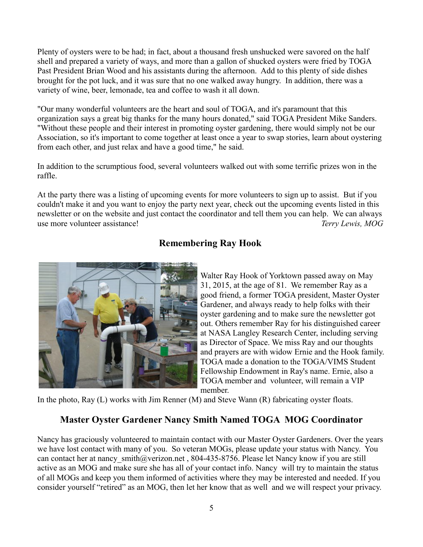Plenty of oysters were to be had; in fact, about a thousand fresh unshucked were savored on the half shell and prepared a variety of ways, and more than a gallon of shucked oysters were fried by TOGA Past President Brian Wood and his assistants during the afternoon. Add to this plenty of side dishes brought for the pot luck, and it was sure that no one walked away hungry. In addition, there was a variety of wine, beer, lemonade, tea and coffee to wash it all down.

"Our many wonderful volunteers are the heart and soul of TOGA, and it's paramount that this organization says a great big thanks for the many hours donated," said TOGA President Mike Sanders. "Without these people and their interest in promoting oyster gardening, there would simply not be our Association, so it's important to come together at least once a year to swap stories, learn about oystering from each other, and just relax and have a good time," he said.

In addition to the scrumptious food, several volunteers walked out with some terrific prizes won in the raffle.

At the party there was a listing of upcoming events for more volunteers to sign up to assist. But if you couldn't make it and you want to enjoy the party next year, check out the upcoming events listed in this newsletter or on the website and just contact the coordinator and tell them you can help. We can always use more volunteer assistance! *Terry Lewis, MOG*

## **Remembering Ray Hook**



Walter Ray Hook of Yorktown passed away on May 31, 2015, at the age of 81. We remember Ray as a good friend, a former TOGA president, Master Oyster Gardener, and always ready to help folks with their oyster gardening and to make sure the newsletter got out. Others remember Ray for his distinguished career at NASA Langley Research Center, including serving as Director of Space. We miss Ray and our thoughts and prayers are with widow Ernie and the Hook family. TOGA made a donation to the TOGA/VIMS Student Fellowship Endowment in Ray's name. Ernie, also a TOGA member and volunteer, will remain a VIP member.

In the photo, Ray (L) works with Jim Renner (M) and Steve Wann (R) fabricating oyster floats.

## **Master Oyster Gardener Nancy Smith Named TOGA MOG Coordinator**

Nancy has graciously volunteered to maintain contact with our Master Oyster Gardeners. Over the years we have lost contact with many of you. So veteran MOGs, please update your status with Nancy. You can contact her at nancy smith@verizon.net , 804-435-8756. Please let Nancy know if you are still active as an MOG and make sure she has all of your contact info. Nancy will try to maintain the status of all MOGs and keep you them informed of activities where they may be interested and needed. If you consider yourself "retired" as an MOG, then let her know that as well and we will respect your privacy.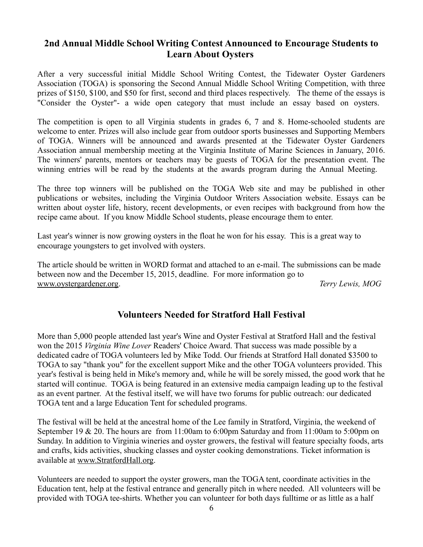## **2nd Annual Middle School Writing Contest Announced to Encourage Students to Learn About Oysters**

After a very successful initial Middle School Writing Contest, the Tidewater Oyster Gardeners Association (TOGA) is sponsoring the Second Annual Middle School Writing Competition, with three prizes of \$150, \$100, and \$50 for first, second and third places respectively. The theme of the essays is "Consider the Oyster"- a wide open category that must include an essay based on oysters.

The competition is open to all Virginia students in grades 6, 7 and 8. Home-schooled students are welcome to enter. Prizes will also include gear from outdoor sports businesses and Supporting Members of TOGA. Winners will be announced and awards presented at the Tidewater Oyster Gardeners Association annual membership meeting at the Virginia Institute of Marine Sciences in January, 2016. The winners' parents, mentors or teachers may be guests of TOGA for the presentation event. The winning entries will be read by the students at the awards program during the Annual Meeting.

The three top winners will be published on the TOGA Web site and may be published in other publications or websites, including the Virginia Outdoor Writers Association website. Essays can be written about oyster life, history, recent developments, or even recipes with background from how the recipe came about. If you know Middle School students, please encourage them to enter.

Last year's winner is now growing oysters in the float he won for his essay. This is a great way to encourage youngsters to get involved with oysters.

The article should be written in WORD format and attached to an e-mail. The submissions can be made between now and the December 15, 2015, deadline. For more information go to [www.oystergardener.org.](http://www.oystergardener.org/) *Terry Lewis, MOG*

## **Volunteers Needed for Stratford Hall Festival**

More than 5,000 people attended last year's Wine and Oyster Festival at Stratford Hall and the festival won the 2015 *Virginia Wine Lover* Readers' Choice Award. That success was made possible by a dedicated cadre of TOGA volunteers led by Mike Todd. Our friends at Stratford Hall donated \$3500 to TOGA to say "thank you" for the excellent support Mike and the other TOGA volunteers provided. This year's festival is being held in Mike's memory and, while he will be sorely missed, the good work that he started will continue. TOGA is being featured in an extensive media campaign leading up to the festival as an event partner. At the festival itself, we will have two forums for public outreach: our dedicated TOGA tent and a large Education Tent for scheduled programs.

The festival will be held at the ancestral home of the Lee family in Stratford, Virginia, the weekend of September 19 & 20. The hours are from 11:00am to 6:00pm Saturday and from 11:00am to 5:00pm on Sunday. In addition to Virginia wineries and oyster growers, the festival will feature specialty foods, arts and crafts, kids activities, shucking classes and oyster cooking demonstrations. Ticket information is available at [www.StratfordHall.org.](http://www.StratfordHall.org/)

Volunteers are needed to support the oyster growers, man the TOGA tent, coordinate activities in the Education tent, help at the festival entrance and generally pitch in where needed. All volunteers will be provided with TOGA tee-shirts. Whether you can volunteer for both days fulltime or as little as a half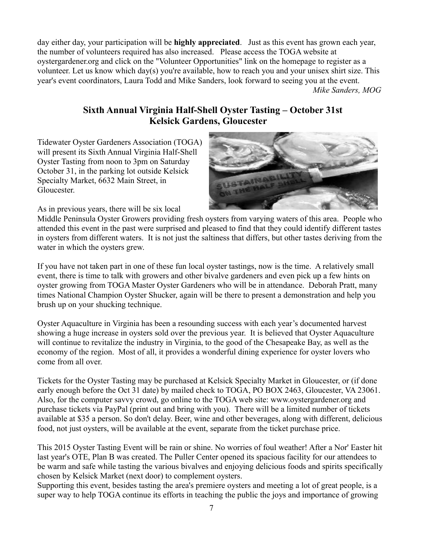day either day, your participation will be **highly appreciated**. Just as this event has grown each year, the number of volunteers required has also increased. Please access the TOGA website at oystergardener.org and click on the "Volunteer Opportunities" link on the homepage to register as a volunteer. Let us know which day(s) you're available, how to reach you and your unisex shirt size. This year's event coordinators, Laura Todd and Mike Sanders, look forward to seeing you at the event.  *Mike Sanders, MOG*

## **Sixth Annual Virginia Half-Shell Oyster Tasting – October 31st Kelsick Gardens, Gloucester**

Tidewater Oyster Gardeners Association (TOGA) will present its Sixth Annual Virginia Half-Shell Oyster Tasting from noon to 3pm on Saturday October 31, in the parking lot outside Kelsick Specialty Market, 6632 Main Street, in Gloucester.



As in previous years, there will be six local

Middle Peninsula Oyster Growers providing fresh oysters from varying waters of this area. People who attended this event in the past were surprised and pleased to find that they could identify different tastes in oysters from different waters. It is not just the saltiness that differs, but other tastes deriving from the water in which the oysters grew.

If you have not taken part in one of these fun local oyster tastings, now is the time. A relatively small event, there is time to talk with growers and other bivalve gardeners and even pick up a few hints on oyster growing from TOGA Master Oyster Gardeners who will be in attendance. Deborah Pratt, many times National Champion Oyster Shucker, again will be there to present a demonstration and help you brush up on your shucking technique.

Oyster Aquaculture in Virginia has been a resounding success with each year's documented harvest showing a huge increase in oysters sold over the previous year. It is believed that Oyster Aquaculture will continue to revitalize the industry in Virginia, to the good of the Chesapeake Bay, as well as the economy of the region. Most of all, it provides a wonderful dining experience for oyster lovers who come from all over.

Tickets for the Oyster Tasting may be purchased at Kelsick Specialty Market in Gloucester, or (if done early enough before the Oct 31 date) by mailed check to TOGA, PO BOX 2463, Gloucester, VA 23061. Also, for the computer savvy crowd, go online to the TOGA web site: www.oystergardener.org and purchase tickets via PayPal (print out and bring with you). There will be a limited number of tickets available at \$35 a person. So don't delay. Beer, wine and other beverages, along with different, delicious food, not just oysters, will be available at the event, separate from the ticket purchase price.

This 2015 Oyster Tasting Event will be rain or shine. No worries of foul weather! After a Nor' Easter hit last year's OTE, Plan B was created. The Puller Center opened its spacious facility for our attendees to be warm and safe while tasting the various bivalves and enjoying delicious foods and spirits specifically chosen by Kelsick Market (next door) to complement oysters.

Supporting this event, besides tasting the area's premiere oysters and meeting a lot of great people, is a super way to help TOGA continue its efforts in teaching the public the joys and importance of growing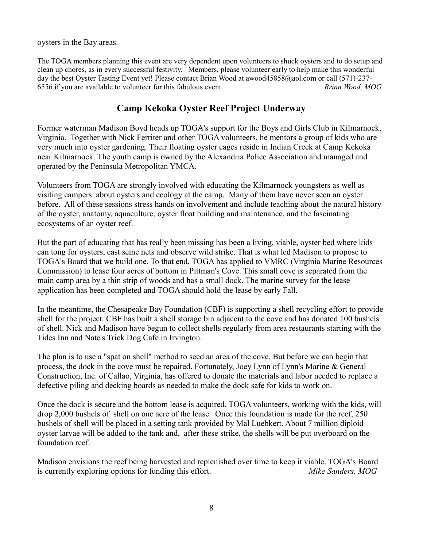oysters in the Bay areas.

The TOGA members planning this event are very dependent upon volunteers to shuck oysters and to do setup and clean up chores, as in every successful festivity. Members, please volunteer early to help make this wonderful day the best Oyster Tasting Event yet! Please contact Brian Wood at awood45858@aol.com or call (571)-237- 6556 if you are available to volunteer for this fabulous event. *Brian Wood, MOG*

## **Camp Kekoka Oyster Reef Project Underway**

Former waterman Madison Boyd heads up TOGA's support for the Boys and Girls Club in Kilmarnock, Virginia. Together with Nick Ferriter and other TOGA volunteers, he mentors a group of kids who are very much into oyster gardening. Their floating oyster cages reside in Indian Creek at Camp Kekoka near Kilmarnock. The youth camp is owned by the Alexandria Police Association and managed and operated by the Peninsula Metropolitan YMCA.

Volunteers from TOGA are strongly involved with educating the Kilmarnock youngsters as well as visiting campers about oysters and ecology at the camp. Many of them have never seen an oyster before. All of these sessions stress hands on involvement and include teaching about the natural history of the oyster, anatomy, aquaculture, oyster float building and maintenance, and the fascinating ecosystems of an oyster reef.

But the part of educating that has really been missing has been a living, viable, oyster bed where kids can tong for oysters, cast seine nets and observe wild strike. That is what led Madison to propose to TOGA's Board that we build one. To that end, TOGA has applied to VMRC (Virginia Marine Resources Commission) to lease four acres of bottom in Pittman's Cove. This small cove is separated from the main camp area by a thin strip of woods and has a small dock. The marine survey for the lease application has been completed and TOGA should hold the lease by early Fall.

In the meantime, the Chesapeake Bay Foundation (CBF) is supporting a shell recycling effort to provide shell for the project. CBF has built a shell storage bin adjacent to the cove and has donated 100 bushels of shell. Nick and Madison have begun to collect shells regularly from area restaurants starting with the Tides Inn and Nate's Trick Dog Cafe in Irvington.

The plan is to use a "spat on shell" method to seed an area of the cove. But before we can begin that process, the dock in the cove must be repaired. Fortunately, Joey Lynn of Lynn's Marine & General Construction, Inc. of Callao, Virginia, has offered to donate the materials and labor needed to replace a defective piling and decking boards as needed to make the dock safe for kids to work on.

Once the dock is secure and the bottom lease is acquired, TOGA volunteers, working with the kids, will drop 2,000 bushels of shell on one acre of the lease. Once this foundation is made for the reef, 250 bushels of shell will be placed in a setting tank provided by Mal Luebkert. About 7 million diploid oyster larvae will be added to the tank and, after these strike, the shells will be put overboard on the foundation reef.

Madison envisions the reef being harvested and replenished over time to keep it viable. TOGA's Board is currently exploring options for funding this effort. *Mike Sanders, MOG*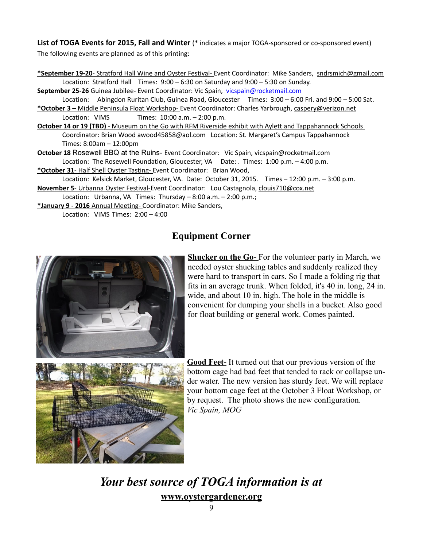**List of TOGA Events for 2015, Fall and Winter** (\* indicates a major TOGA-sponsored or co-sponsored event) The following events are planned as of this printing:

 **\*September 19-20**- Stratford Hall Wine and Oyster Festival- Event Coordinator: Mike Sanders, [sndrsmich@gmail.com](mailto:sndrsmich@gmail.com) Location: Stratford Hall Times: 9:00 – 6:30 on Saturday and 9:00 – 5:30 on Sunday.

September 25-26 Guinea Jubilee- Event Coordinator: Vic Spain, [vicspain@rocketmail.com](mailto:vicspain@rocketmail.com) Location: Abingdon Ruritan Club, Guinea Road, Gloucester Times: 3:00 – 6:00 Fri. and 9:00 – 5:00 Sat.

- **\*October 3 –** Middle Peninsula Float Workshop- Event Coordinator: Charles Yarbrough, [caspery@verizon.net](mailto:caspery@verizon.net) Location: VIMS Times: 10:00 a.m. – 2:00 p.m.
- **October 14 or 19 (TBD)** Museum on the Go with RFM Riverside exhibit with Aylett and Tappahannock Schools Coordinator: Brian Wood [awood45858@aol.com](mailto:awood45858@aol.com) Location: St. Margaret's Campus Tappahannock Times: 8:00am – 12:00pm
- **October 18** Rosewell BBQ at the Ruins- Event Coordinator: Vic Spain, [vicspain@rocketmail.com](mailto:vicspain@rocketmail.com) Location: The Rosewell Foundation, Gloucester, VA Date: . Times: 1:00 p.m. – 4:00 p.m.
- **\*October 31** Half Shell Oyster Tasting- Event Coordinator: Brian Wood,
- Location: Kelsick Market, Gloucester, VA. Date: October 31, 2015. Times 12:00 p.m. 3:00 p.m. **November 5**- Urbanna Oyster Festival-Event Coordinator: Lou Castagnola, [clouis710@cox.net](mailto:clouis710@cox.net)

Location: Urbanna, VA Times: Thursday – 8:00 a.m. – 2:00 p.m.;

**\*January 9 - 2016** Annual Meeting- Coordinator: Mike Sanders,

Location: VIMS Times: 2:00 – 4:00

## **Equipment Corner**



**Shucker on the Go-** For the volunteer party in March, we needed oyster shucking tables and suddenly realized they were hard to transport in cars. So I made a folding rig that fits in an average trunk. When folded, it's 40 in. long, 24 in. wide, and about 10 in. high. The hole in the middle is convenient for dumping your shells in a bucket. Also good for float building or general work. Comes painted.



**Good Feet-** It turned out that our previous version of the bottom cage had bad feet that tended to rack or collapse under water. The new version has sturdy feet. We will replace your bottom cage feet at the October 3 Float Workshop, or by request. The photo shows the new configuration. *Vic Spain, MOG*

*Your best source of TOGA information is at* **www.oystergardener.org**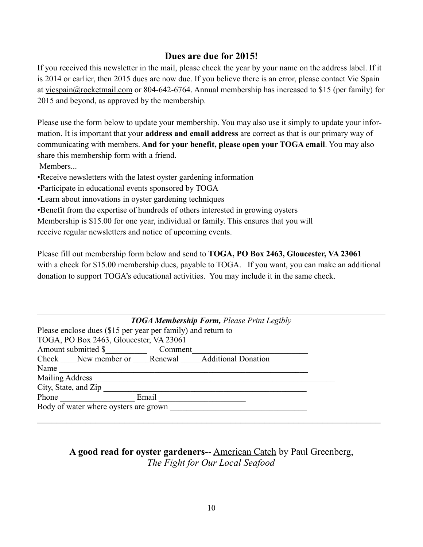## **Dues are due for 2015!**

If you received this newsletter in the mail, please check the year by your name on the address label. If it is 2014 or earlier, then 2015 dues are now due. If you believe there is an error, please contact Vic Spain at [vicspain@rocketmail.com](mailto:vicspain@rocketmail.com) or 804-642-6764. Annual membership has increased to \$15 (per family) for 2015 and beyond, as approved by the membership.

Please use the form below to update your membership. You may also use it simply to update your information. It is important that your **address and email address** are correct as that is our primary way of communicating with members. **And for your benefit, please open your TOGA email**. You may also share this membership form with a friend.

Members...

•Receive newsletters with the latest oyster gardening information

•Participate in educational events sponsored by TOGA

•Learn about innovations in oyster gardening techniques

•Benefit from the expertise of hundreds of others interested in growing oysters

Membership is \$15.00 for one year, individual or family. This ensures that you will

receive regular newsletters and notice of upcoming events.

Please fill out membership form below and send to **TOGA, PO Box 2463, Gloucester, VA 23061** with a check for \$15.00 membership dues, payable to TOGA. If you want, you can make an additional donation to support TOGA's educational activities. You may include it in the same check.

| <b>TOGA Membership Form, Please Print Legibly</b>            |         |  |  |  |  |  |
|--------------------------------------------------------------|---------|--|--|--|--|--|
| Please enclose dues (\$15 per year per family) and return to |         |  |  |  |  |  |
| TOGA, PO Box 2463, Gloucester, VA 23061                      |         |  |  |  |  |  |
| Amount submitted \$                                          | Comment |  |  |  |  |  |
| Check New member or Renewal Additional Donation              |         |  |  |  |  |  |
| Name                                                         |         |  |  |  |  |  |
| <b>Mailing Address</b>                                       |         |  |  |  |  |  |
| City, State, and Zip                                         |         |  |  |  |  |  |
| Phone                                                        | Email   |  |  |  |  |  |
| Body of water where oysters are grown                        |         |  |  |  |  |  |

## **A good read for oyster gardeners**-- American Catch by Paul Greenberg, *The Fight for Our Local Seafood*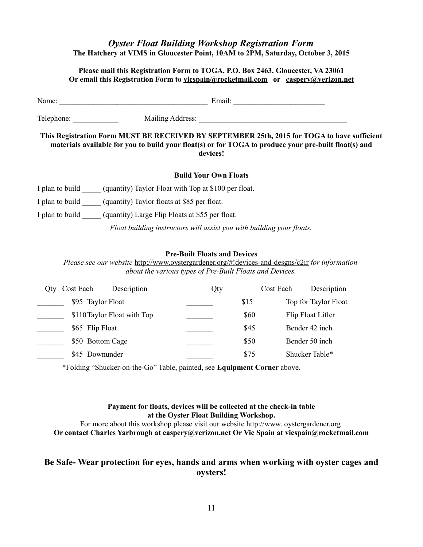#### *Oyster Float Building Workshop Registration Form* **The Hatchery at VIMS in Gloucester Point, 10AM to 2PM, Saturday, October 3, 2015**

#### **Please mail this Registration Form to TOGA, P.O. Box 2463, Gloucester, VA 23061 Or email this Registration Form to vicspain@rocketmail.com or [caspery@verizon.net](mailto:caspery@verizon.net)**

| Name:                                                                                                                                                                                                            |                                                             | Email:                                                                |  |  |  |  |
|------------------------------------------------------------------------------------------------------------------------------------------------------------------------------------------------------------------|-------------------------------------------------------------|-----------------------------------------------------------------------|--|--|--|--|
| Telephone:<br>Mailing Address:                                                                                                                                                                                   |                                                             |                                                                       |  |  |  |  |
| This Registration Form MUST BE RECEIVED BY SEPTEMBER 25th, 2015 for TOGA to have sufficient<br>materials available for you to build your float(s) or for TOGA to produce your pre-built float(s) and<br>devices! |                                                             |                                                                       |  |  |  |  |
|                                                                                                                                                                                                                  |                                                             | <b>Build Your Own Floats</b>                                          |  |  |  |  |
| I plan to build                                                                                                                                                                                                  | (quantity) Taylor Float with Top at \$100 per float.        |                                                                       |  |  |  |  |
|                                                                                                                                                                                                                  | I plan to build (quantity) Taylor floats at \$85 per float. |                                                                       |  |  |  |  |
| I plan to build                                                                                                                                                                                                  | (quantity) Large Flip Floats at \$55 per float.             |                                                                       |  |  |  |  |
|                                                                                                                                                                                                                  |                                                             | Float building instructors will assist you with building your floats. |  |  |  |  |
|                                                                                                                                                                                                                  |                                                             | <b>D</b> <sub>re</sub> D <sub>r</sub> ill Flaste and Devises          |  |  |  |  |

#### **Pre-Built Floats and Devices**

*Please see our website* <http://www.oystergardener.org/#!devices-and-desgns/c2ir> *for information about the various types of Pre-Built Floats and Devices.*

| Otv. | Description<br>Cost Each    | Qty |      | Description<br>Cost Each |
|------|-----------------------------|-----|------|--------------------------|
|      | \$95 Taylor Float           |     | \$15 | Top for Taylor Float     |
|      | \$110 Taylor Float with Top |     | \$60 | Flip Float Lifter        |
|      | \$65 Flip Float             |     | \$45 | Bender 42 inch           |
|      | \$50 Bottom Cage            |     | \$50 | Bender 50 inch           |
|      | \$45 Downunder              |     | \$75 | Shucker Table*           |

\*Folding "Shucker-on-the-Go" Table, painted, see **Equipment Corner** above.

#### **Payment for floats, devices will be collected at the check-in table at the Oyster Float Building Workshop.**

For more about this workshop please visit our website http://www. oystergardener.org **Or contact Charles Yarbrough at [caspery@verizon.net](mailto:caspery@verizon.net) Or Vic Spain at [vicspain@rocketmail.com](mailto:vicspain@rocketmail.com)**

#### **Be Safe- Wear protection for eyes, hands and arms when working with oyster cages and oysters!**